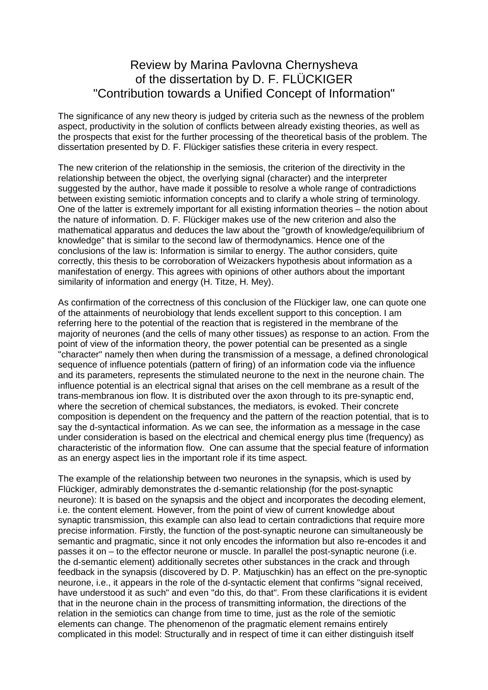## Review by Marina Pavlovna Chernysheva of the dissertation by D. F. FLÜCKIGER "Contribution towards a Unified Concept of Information"

The significance of any new theory is judged by criteria such as the newness of the problem aspect, productivity in the solution of conflicts between already existing theories, as well as the prospects that exist for the further processing of the theoretical basis of the problem. The dissertation presented by D. F. Flückiger satisfies these criteria in every respect.

The new criterion of the relationship in the semiosis, the criterion of the directivity in the relationship between the object, the overlying signal (character) and the interpreter suggested by the author, have made it possible to resolve a whole range of contradictions between existing semiotic information concepts and to clarify a whole string of terminology. One of the latter is extremely important for all existing information theories – the notion about the nature of information. D. F. Flückiger makes use of the new criterion and also the mathematical apparatus and deduces the law about the "growth of knowledge/equilibrium of knowledge" that is similar to the second law of thermodynamics. Hence one of the conclusions of the law is: Information is similar to energy. The author considers, quite correctly, this thesis to be corroboration of Weizackers hypothesis about information as a manifestation of energy. This agrees with opinions of other authors about the important similarity of information and energy (H. Titze, H. Mey).

As confirmation of the correctness of this conclusion of the Flückiger law, one can quote one of the attainments of neurobiology that lends excellent support to this conception. I am referring here to the potential of the reaction that is registered in the membrane of the majority of neurones (and the cells of many other tissues) as response to an action. From the point of view of the information theory, the power potential can be presented as a single "character" namely then when during the transmission of a message, a defined chronological sequence of influence potentials (pattern of firing) of an information code via the influence and its parameters, represents the stimulated neurone to the next in the neurone chain. The influence potential is an electrical signal that arises on the cell membrane as a result of the trans-membranous ion flow. It is distributed over the axon through to its pre-synaptic end, where the secretion of chemical substances, the mediators, is evoked. Their concrete composition is dependent on the frequency and the pattern of the reaction potential, that is to say the d-syntactical information. As we can see, the information as a message in the case under consideration is based on the electrical and chemical energy plus time (frequency) as characteristic of the information flow. One can assume that the special feature of information as an energy aspect lies in the important role if its time aspect.

The example of the relationship between two neurones in the synapsis, which is used by Flückiger, admirably demonstrates the d-semantic relationship (for the post-synaptic neurone): It is based on the synapsis and the object and incorporates the decoding element, i.e. the content element. However, from the point of view of current knowledge about synaptic transmission, this example can also lead to certain contradictions that require more precise information. Firstly, the function of the post-synaptic neurone can simultaneously be semantic and pragmatic, since it not only encodes the information but also re-encodes it and passes it on – to the effector neurone or muscle. In parallel the post-synaptic neurone (i.e. the d-semantic element) additionally secretes other substances in the crack and through feedback in the synapsis (discovered by D. P. Matjuschkin) has an effect on the pre-synoptic neurone, i.e., it appears in the role of the d-syntactic element that confirms "signal received, have understood it as such" and even "do this, do that". From these clarifications it is evident that in the neurone chain in the process of transmitting information, the directions of the relation in the semiotics can change from time to time, just as the role of the semiotic elements can change. The phenomenon of the pragmatic element remains entirely complicated in this model: Structurally and in respect of time it can either distinguish itself